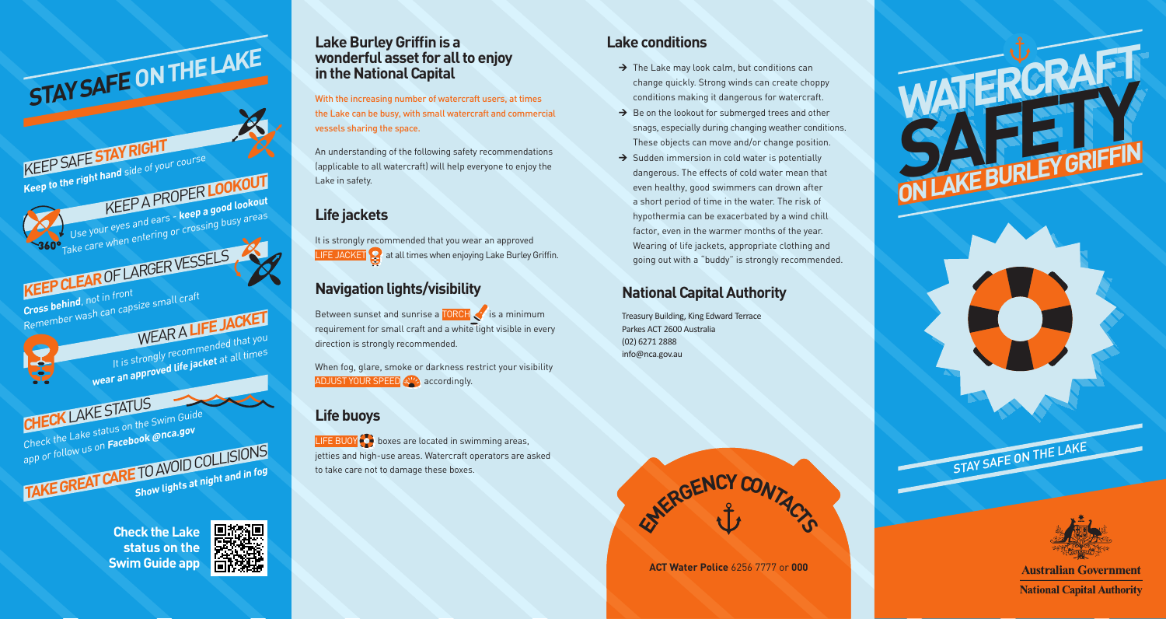#### **Lake Burley Griffin is a wonderful asset for all to enjoy in the National Capital**

With the increasing number of watercraft users, at times the Lake can be busy, with small watercraft and commercial vessels sharing the space.

An understanding of the following safety recommendations (applicable to all watercraft) will help everyone to enjoy the Lake in safety.

# **Life jackets**

It is strongly recommended that you wear an approved **LIFE JACKET**  $\Omega$  at all times when enjoying Lake Burley Griffin.

## **Navigation lights/visibility**

Between sunset and sunrise a TORCH is a minimum requirement for small craft and a white light visible in every direction is strongly recommended.

When fog, glare, smoke or darkness restrict your visibility ADJUST YOUR SPEED **AND ACCORDING** 

### **Life buoys**

LIFE BUOY  $\bigodot$  boxes are located in swimming areas, jetties and high-use areas. Watercraft operators are asked to take care not to damage these boxes.

### **Lake conditions**

- $\rightarrow$  The Lake may look calm, but conditions can change quickly. Strong winds can create choppy conditions making it dangerous for watercraft.
- $\rightarrow$  Be on the lookout for submerged trees and other snags, especially during changing weather conditions. These objects can move and/or change position.
- $\rightarrow$  Sudden immersion in cold water is potentially dangerous. The effects of cold water mean that even healthy, good swimmers can drown after a short period of time in the water. The risk of hypothermia can be exacerbated by a wind chill factor, even in the warmer months of the year. Wearing of life jackets, appropriate clothing and going out with a "buddy" is strongly recommended.

## **National Capital Authority**

Treasury Building, King Edward Terrace Parkes ACT 2600 Australia (02) 6271 2888 info@nca.gov.au



**ACT Water Police** 6256 7777 or **000**





**Australian Government National Capital Authority** 



app or follow us on Fact of the Land on the Land on the Show lights at night and in fog

KEEP SAFE **STAY RIGHT**

**Keep to the right hand** side of your course

STAY SAFE ON THE LAKE

**KEEP CLEAR** OF LARGER VESSELS

**Cross behind**, not in front<br>
Remember wash can capsize small craft

**CHECK** LAKE STATUS

Check the Lake status on the [Swim Gu](https://www.facebook.com/NCA.gov/)ide app or follow us on **Facebook @nca.gov**

KEEP A PROPER **LOOKOUT**

WEAR A **LIFE JACKET**

It is strongly recommended that you wear an approved life jacket at all times

Use your eyes and ears - **keep a good lookout** Take care when entering or crossing busy areas